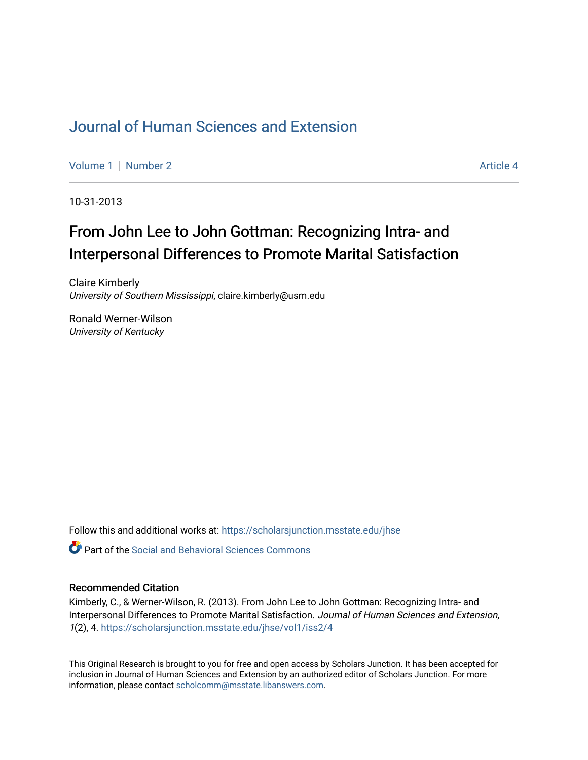## [Journal of Human Sciences and Extension](https://scholarsjunction.msstate.edu/jhse)

[Volume 1](https://scholarsjunction.msstate.edu/jhse/vol1) | [Number 2](https://scholarsjunction.msstate.edu/jhse/vol1/iss2) Article 4

10-31-2013

# From John Lee to John Gottman: Recognizing Intra- and Interpersonal Differences to Promote Marital Satisfaction

Claire Kimberly University of Southern Mississippi, claire.kimberly@usm.edu

Ronald Werner-Wilson University of Kentucky

Follow this and additional works at: [https://scholarsjunction.msstate.edu/jhse](https://scholarsjunction.msstate.edu/jhse?utm_source=scholarsjunction.msstate.edu%2Fjhse%2Fvol1%2Fiss2%2F4&utm_medium=PDF&utm_campaign=PDFCoverPages)

 $\bullet$  Part of the Social and Behavioral Sciences Commons

#### Recommended Citation

Kimberly, C., & Werner-Wilson, R. (2013). From John Lee to John Gottman: Recognizing Intra- and Interpersonal Differences to Promote Marital Satisfaction. Journal of Human Sciences and Extension, 1(2), 4. [https://scholarsjunction.msstate.edu/jhse/vol1/iss2/4](https://scholarsjunction.msstate.edu/jhse/vol1/iss2/4?utm_source=scholarsjunction.msstate.edu%2Fjhse%2Fvol1%2Fiss2%2F4&utm_medium=PDF&utm_campaign=PDFCoverPages) 

This Original Research is brought to you for free and open access by Scholars Junction. It has been accepted for inclusion in Journal of Human Sciences and Extension by an authorized editor of Scholars Junction. For more information, please contact [scholcomm@msstate.libanswers.com](mailto:scholcomm@msstate.libanswers.com).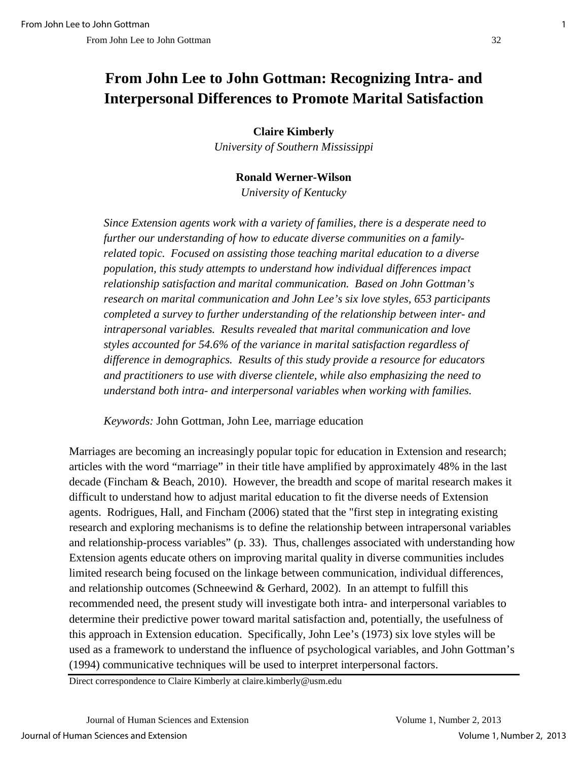## **From John Lee to John Gottman: Recognizing Intra- and Interpersonal Differences to Promote Marital Satisfaction**

**Claire Kimberly**

*University of Southern Mississippi* 

## **Ronald Werner-Wilson**

*University of Kentucky*

*Since Extension agents work with a variety of families, there is a desperate need to further our understanding of how to educate diverse communities on a familyrelated topic. Focused on assisting those teaching marital education to a diverse population, this study attempts to understand how individual differences impact relationship satisfaction and marital communication. Based on John Gottman's research on marital communication and John Lee's six love styles, 653 participants completed a survey to further understanding of the relationship between inter- and intrapersonal variables. Results revealed that marital communication and love styles accounted for 54.6% of the variance in marital satisfaction regardless of difference in demographics. Results of this study provide a resource for educators and practitioners to use with diverse clientele, while also emphasizing the need to understand both intra- and interpersonal variables when working with families.* 

*Keywords:* John Gottman, John Lee, marriage education

Marriages are becoming an increasingly popular topic for education in Extension and research; articles with the word "marriage" in their title have amplified by approximately 48% in the last decade (Fincham & Beach, 2010). However, the breadth and scope of marital research makes it difficult to understand how to adjust marital education to fit the diverse needs of Extension agents. Rodrigues, Hall, and Fincham (2006) stated that the "first step in integrating existing research and exploring mechanisms is to define the relationship between intrapersonal variables and relationship-process variables" (p. 33).Thus, challenges associated with understanding how Extension agents educate others on improving marital quality in diverse communities includes limited research being focused on the linkage between communication, individual differences, and relationship outcomes (Schneewind & Gerhard, 2002). In an attempt to fulfill this recommended need, the present study will investigate both intra- and interpersonal variables to determine their predictive power toward marital satisfaction and, potentially, the usefulness of this approach in Extension education. Specifically, John Lee's (1973) six love styles will be used as a framework to understand the influence of psychological variables, and John Gottman's (1994) communicative techniques will be used to interpret interpersonal factors.

Direct correspondence to Claire Kimberly at claire.kimberly@usm.edu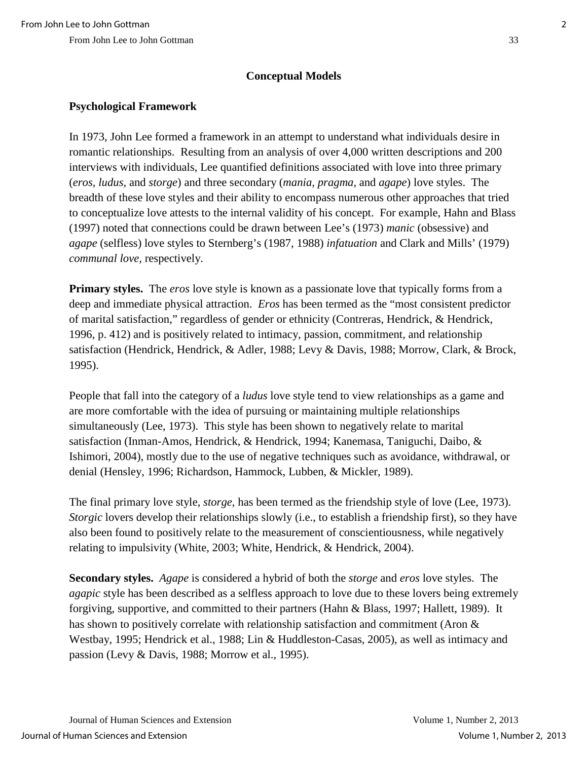## **Conceptual Models**

## **Psychological Framework**

In 1973, John Lee formed a framework in an attempt to understand what individuals desire in romantic relationships. Resulting from an analysis of over 4,000 written descriptions and 200 interviews with individuals, Lee quantified definitions associated with love into three primary (*eros, ludus,* and *storge*) and three secondary (*mania, pragma,* and *agape*) love styles. The breadth of these love styles and their ability to encompass numerous other approaches that tried to conceptualize love attests to the internal validity of his concept. For example, Hahn and Blass (1997) noted that connections could be drawn between Lee's (1973) *manic* (obsessive) and *agape* (selfless) love styles to Sternberg's (1987, 1988) *infatuation* and Clark and Mills' (1979) *communal love,* respectively.

**Primary styles.** The *eros* love style is known as a passionate love that typically forms from a deep and immediate physical attraction. *Eros* has been termed as the "most consistent predictor of marital satisfaction," regardless of gender or ethnicity (Contreras, Hendrick, & Hendrick, 1996, p. 412) and is positively related to intimacy, passion, commitment, and relationship satisfaction (Hendrick, Hendrick, & Adler, 1988; Levy & Davis, 1988; Morrow, Clark, & Brock, 1995).

People that fall into the category of a *ludus* love style tend to view relationships as a game and are more comfortable with the idea of pursuing or maintaining multiple relationships simultaneously (Lee, 1973). This style has been shown to negatively relate to marital satisfaction (Inman-Amos, Hendrick, & Hendrick, 1994; Kanemasa, Taniguchi, Daibo, & Ishimori, 2004), mostly due to the use of negative techniques such as avoidance, withdrawal, or denial (Hensley, 1996; Richardson, Hammock, Lubben, & Mickler, 1989).

The final primary love style, *storge*, has been termed as the friendship style of love (Lee, 1973). *Storgic* lovers develop their relationships slowly (i.e., to establish a friendship first), so they have also been found to positively relate to the measurement of conscientiousness, while negatively relating to impulsivity (White, 2003; White, Hendrick, & Hendrick, 2004).

**Secondary styles.** *Agape* is considered a hybrid of both the *storge* and *eros* love styles. The *agapic* style has been described as a selfless approach to love due to these lovers being extremely forgiving, supportive, and committed to their partners (Hahn & Blass, 1997; Hallett, 1989). It has shown to positively correlate with relationship satisfaction and commitment (Aron & Westbay, 1995; Hendrick et al., 1988; Lin & Huddleston-Casas, 2005), as well as intimacy and passion (Levy & Davis, 1988; Morrow et al., 1995).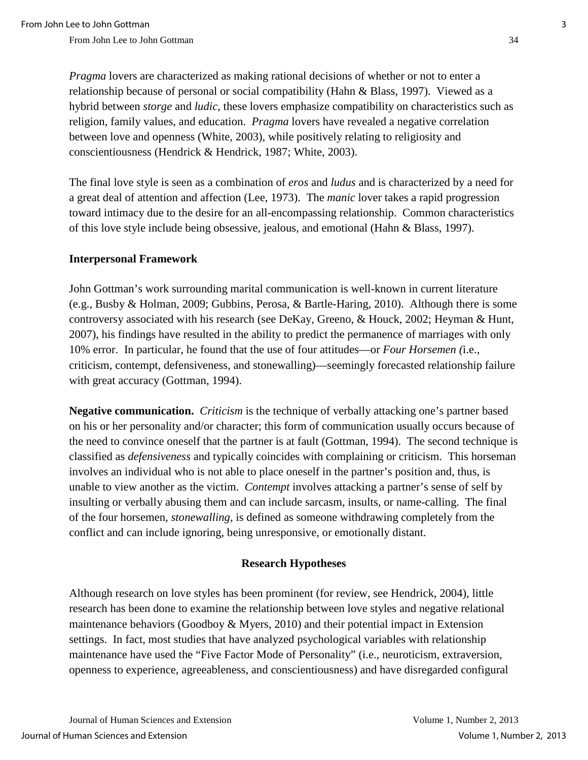*Pragma* lovers are characterized as making rational decisions of whether or not to enter a relationship because of personal or social compatibility (Hahn & Blass, 1997). Viewed as a hybrid between *storge* and *ludic*, these lovers emphasize compatibility on characteristics such as religion, family values, and education. *Pragma* lovers have revealed a negative correlation between love and openness (White, 2003), while positively relating to religiosity and conscientiousness (Hendrick & Hendrick, 1987; White, 2003).

The final love style is seen as a combination of *eros* and *ludus* and is characterized by a need for a great deal of attention and affection (Lee, 1973). The *manic* lover takes a rapid progression toward intimacy due to the desire for an all-encompassing relationship. Common characteristics of this love style include being obsessive, jealous, and emotional (Hahn & Blass, 1997).

#### **Interpersonal Framework**

John Gottman's work surrounding marital communication is well-known in current literature (e.g., Busby & Holman, 2009; Gubbins, Perosa, & Bartle-Haring, 2010). Although there is some controversy associated with his research (see DeKay, Greeno, & Houck, 2002; Heyman & Hunt, 2007), his findings have resulted in the ability to predict the permanence of marriages with only 10% error. In particular, he found that the use of four attitudes—or *Four Horsemen (*i.e., criticism, contempt, defensiveness, and stonewalling)—seemingly forecasted relationship failure with great accuracy (Gottman, 1994).

**Negative communication.** *Criticism* is the technique of verbally attacking one's partner based on his or her personality and/or character; this form of communication usually occurs because of the need to convince oneself that the partner is at fault (Gottman, 1994). The second technique is classified as *defensiveness* and typically coincides with complaining or criticism. This horseman involves an individual who is not able to place oneself in the partner's position and, thus, is unable to view another as the victim. *Contempt* involves attacking a partner's sense of self by insulting or verbally abusing them and can include sarcasm, insults, or name-calling. The final of the four horsemen, *stonewalling,* is defined as someone withdrawing completely from the conflict and can include ignoring, being unresponsive, or emotionally distant.

#### **Research Hypotheses**

Although research on love styles has been prominent (for review, see Hendrick, 2004), little research has been done to examine the relationship between love styles and negative relational maintenance behaviors (Goodboy & Myers, 2010) and their potential impact in Extension settings. In fact, most studies that have analyzed psychological variables with relationship maintenance have used the "Five Factor Mode of Personality" (i.e., neuroticism, extraversion, openness to experience, agreeableness, and conscientiousness) and have disregarded configural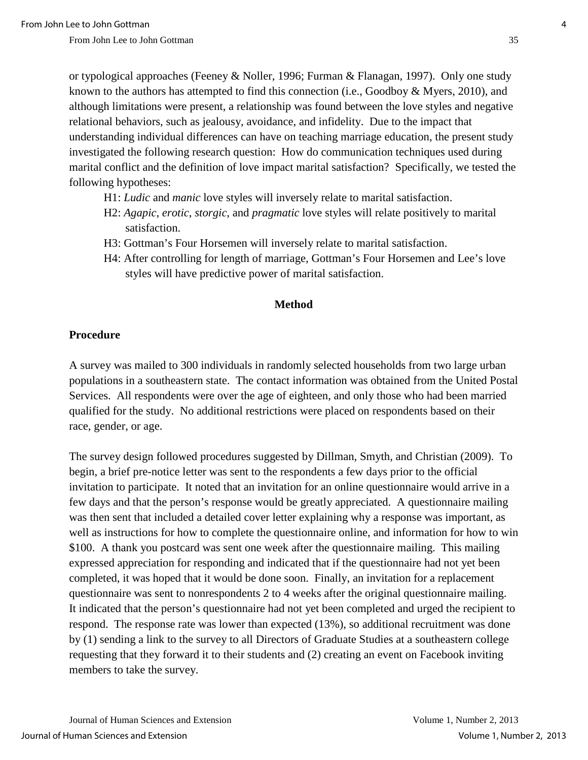or typological approaches (Feeney & Noller, 1996; Furman & Flanagan, 1997). Only one study known to the authors has attempted to find this connection (i.e., Goodboy & Myers, 2010), and although limitations were present, a relationship was found between the love styles and negative relational behaviors, such as jealousy, avoidance, and infidelity. Due to the impact that understanding individual differences can have on teaching marriage education, the present study investigated the following research question: How do communication techniques used during marital conflict and the definition of love impact marital satisfaction? Specifically, we tested the following hypotheses:

- H1: *Ludic* and *manic* love styles will inversely relate to marital satisfaction.
- H2: *Agapic*, *erotic*, *storgic*, and *pragmatic* love styles will relate positively to marital satisfaction.
- H3: Gottman's Four Horsemen will inversely relate to marital satisfaction.
- H4: After controlling for length of marriage, Gottman's Four Horsemen and Lee's love styles will have predictive power of marital satisfaction.

#### **Method**

#### **Procedure**

A survey was mailed to 300 individuals in randomly selected households from two large urban populations in a southeastern state. The contact information was obtained from the United Postal Services. All respondents were over the age of eighteen, and only those who had been married qualified for the study. No additional restrictions were placed on respondents based on their race, gender, or age.

The survey design followed procedures suggested by Dillman, Smyth, and Christian (2009). To begin, a brief pre-notice letter was sent to the respondents a few days prior to the official invitation to participate. It noted that an invitation for an online questionnaire would arrive in a few days and that the person's response would be greatly appreciated.A questionnaire mailing was then sent that included a detailed cover letter explaining why a response was important, as well as instructions for how to complete the questionnaire online, and information for how to win \$100. A thank you postcard was sent one week after the questionnaire mailing. This mailing expressed appreciation for responding and indicated that if the questionnaire had not yet been completed, it was hoped that it would be done soon. Finally, an invitation for a replacement questionnaire was sent to nonrespondents 2 to 4 weeks after the original questionnaire mailing. It indicated that the person's questionnaire had not yet been completed and urged the recipient to respond. The response rate was lower than expected (13%), so additional recruitment was done by (1) sending a link to the survey to all Directors of Graduate Studies at a southeastern college requesting that they forward it to their students and (2) creating an event on Facebook inviting members to take the survey.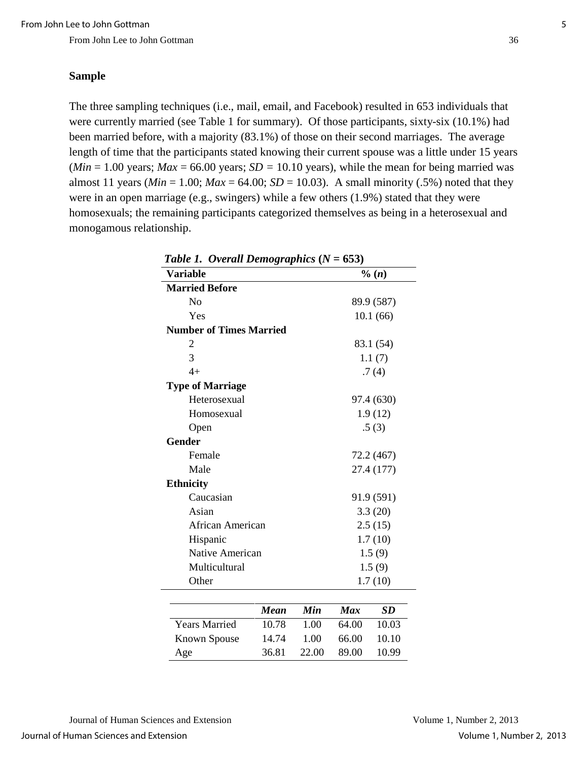#### **Sample**

The three sampling techniques (i.e., mail, email, and Facebook) resulted in 653 individuals that were currently married (see Table 1 for summary). Of those participants, sixty-six (10.1%) had been married before, with a majority (83.1%) of those on their second marriages. The average length of time that the participants stated knowing their current spouse was a little under 15 years ( $Min = 1.00$  years;  $Max = 66.00$  years;  $SD = 10.10$  years), while the mean for being married was almost 11 years ( $Min = 1.00$ ;  $Max = 64.00$ ;  $SD = 10.03$ ). A small minority (.5%) noted that they were in an open marriage (e.g., swingers) while a few others (1.9%) stated that they were homosexuals; the remaining participants categorized themselves as being in a heterosexual and monogamous relationship.

| Table 1. Overall Demographics $(N = 653)$ |             |         |            |           |  |  |
|-------------------------------------------|-------------|---------|------------|-----------|--|--|
| <b>Variable</b>                           |             |         |            | % (n)     |  |  |
| <b>Married Before</b>                     |             |         |            |           |  |  |
| N <sub>o</sub>                            | 89.9 (587)  |         |            |           |  |  |
| Yes                                       |             |         |            | 10.1(66)  |  |  |
| <b>Number of Times Married</b>            |             |         |            |           |  |  |
| 2                                         |             |         |            | 83.1 (54) |  |  |
| 3                                         |             |         |            | 1.1(7)    |  |  |
| $4+$                                      |             |         |            | .7(4)     |  |  |
| <b>Type of Marriage</b>                   |             |         |            |           |  |  |
| Heterosexual                              |             |         | 97.4 (630) |           |  |  |
| Homosexual                                |             | 1.9(12) |            |           |  |  |
| Open                                      |             |         |            | .5(3)     |  |  |
| <b>Gender</b>                             |             |         |            |           |  |  |
| Female                                    | 72.2 (467)  |         |            |           |  |  |
| Male                                      | 27.4 (177)  |         |            |           |  |  |
| <b>Ethnicity</b>                          |             |         |            |           |  |  |
| Caucasian                                 | 91.9 (591)  |         |            |           |  |  |
| Asian                                     |             | 3.3(20) |            |           |  |  |
| <b>African American</b>                   |             |         | 2.5(15)    |           |  |  |
| Hispanic                                  |             |         | 1.7(10)    |           |  |  |
| Native American                           |             |         | 1.5(9)     |           |  |  |
| Multicultural                             |             |         | 1.5(9)     |           |  |  |
| Other                                     |             | 1.7(10) |            |           |  |  |
|                                           |             |         |            |           |  |  |
|                                           | <b>Mean</b> | Min     | <b>Max</b> | <b>SD</b> |  |  |
| <b>Years Married</b>                      | 10.78       | 1.00    | 64.00      | 10.03     |  |  |
| <b>Known Spouse</b>                       | 14.74       | 1.00    | 66.00      | 10.10     |  |  |
| Age                                       | 36.81       | 22.00   | 89.00      | 10.99     |  |  |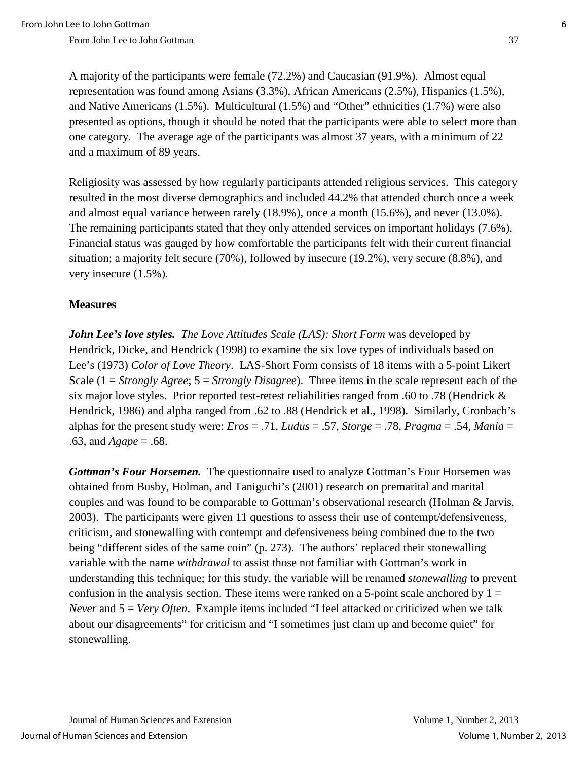A majority of the participants were female (72.2%) and Caucasian (91.9%). Almost equal representation was found among Asians (3.3%), African Americans (2.5%), Hispanics (1.5%), and Native Americans (1.5%). Multicultural (1.5%) and "Other" ethnicities (1.7%) were also presented as options, though it should be noted that the participants were able to select more than one category. The average age of the participants was almost 37 years, with a minimum of 22 and a maximum of 89 years.

Religiosity was assessed by how regularly participants attended religious services. This category resulted in the most diverse demographics and included 44.2% that attended church once a week and almost equal variance between rarely (18.9%), once a month (15.6%), and never (13.0%). The remaining participants stated that they only attended services on important holidays (7.6%). Financial status was gauged by how comfortable the participants felt with their current financial situation; a majority felt secure (70%), followed by insecure (19.2%), very secure (8.8%), and very insecure (1.5%).

#### **Measures**

*John Lee's love styles. The Love Attitudes Scale (LAS): Short Form* was developed by Hendrick, Dicke, and Hendrick (1998) to examine the six love types of individuals based on Lee's (1973) *Color of Love Theory*. LAS-Short Form consists of 18 items with a 5-point Likert Scale (1 = *Strongly Agree*; 5 = *Strongly Disagree*). Three items in the scale represent each of the six major love styles. Prior reported test-retest reliabilities ranged from .60 to .78 (Hendrick & Hendrick, 1986) and alpha ranged from .62 to .88 (Hendrick et al., 1998). Similarly, Cronbach's alphas for the present study were: *Eros* = .71, *Ludus* = .57, *Storge* = .78, *Pragma* = .54, *Mania* = .63, and *Agape* = .68.

*Gottman's Four Horsemen.* The questionnaire used to analyze Gottman's Four Horsemen was obtained from Busby, Holman, and Taniguchi's (2001) research on premarital and marital couples and was found to be comparable to Gottman's observational research (Holman & Jarvis, 2003). The participants were given 11 questions to assess their use of contempt/defensiveness, criticism, and stonewalling with contempt and defensiveness being combined due to the two being "different sides of the same coin" (p. 273). The authors' replaced their stonewalling variable with the name *withdrawal* to assist those not familiar with Gottman's work in understanding this technique; for this study, the variable will be renamed *stonewalling* to prevent confusion in the analysis section. These items were ranked on a 5-point scale anchored by  $1 =$ *Never* and 5 = *Very Often*. Example items included "I feel attacked or criticized when we talk about our disagreements" for criticism and "I sometimes just clam up and become quiet" for stonewalling.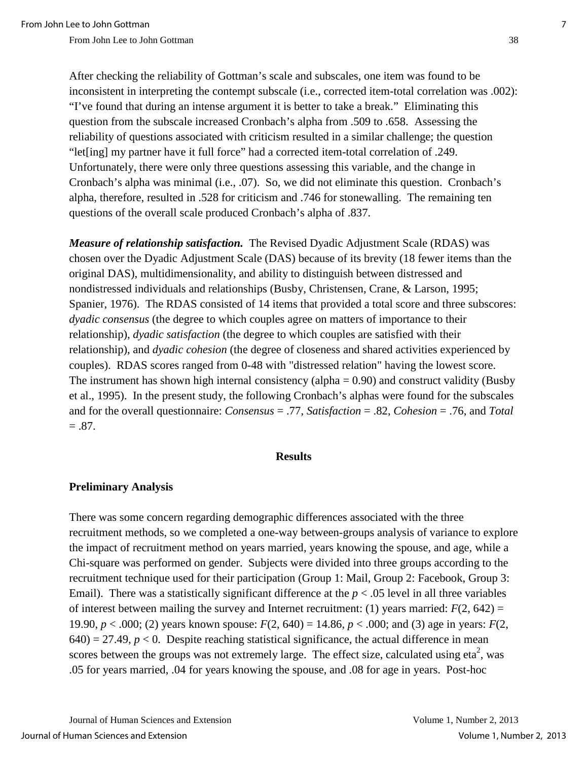After checking the reliability of Gottman's scale and subscales, one item was found to be inconsistent in interpreting the contempt subscale (i.e., corrected item-total correlation was .002): "I've found that during an intense argument it is better to take a break." Eliminating this question from the subscale increased Cronbach's alpha from .509 to .658. Assessing the reliability of questions associated with criticism resulted in a similar challenge; the question "let[ing] my partner have it full force" had a corrected item-total correlation of .249. Unfortunately, there were only three questions assessing this variable, and the change in Cronbach's alpha was minimal (i.e., .07). So, we did not eliminate this question. Cronbach's alpha, therefore, resulted in .528 for criticism and .746 for stonewalling. The remaining ten questions of the overall scale produced Cronbach's alpha of .837.

*Measure of relationship satisfaction.* The Revised Dyadic Adjustment Scale (RDAS) was chosen over the Dyadic Adjustment Scale (DAS) because of its brevity (18 fewer items than the original DAS), multidimensionality, and ability to distinguish between distressed and nondistressed individuals and relationships (Busby, Christensen, Crane, & Larson, 1995; Spanier, 1976). The RDAS consisted of 14 items that provided a total score and three subscores: *dyadic consensus* (the degree to which couples agree on matters of importance to their relationship), *dyadic satisfaction* (the degree to which couples are satisfied with their relationship), and *dyadic cohesion* (the degree of closeness and shared activities experienced by couples). RDAS scores ranged from 0-48 with "distressed relation" having the lowest score. The instrument has shown high internal consistency (alpha  $= 0.90$ ) and construct validity (Busby et al., 1995). In the present study, the following Cronbach's alphas were found for the subscales and for the overall questionnaire: *Consensus* = .77, *Satisfaction* = .82, *Cohesion* = .76, and *Total*   $=.87.$ 

#### **Results**

#### **Preliminary Analysis**

There was some concern regarding demographic differences associated with the three recruitment methods, so we completed a one-way between-groups analysis of variance to explore the impact of recruitment method on years married, years knowing the spouse, and age, while a Chi-square was performed on gender. Subjects were divided into three groups according to the recruitment technique used for their participation (Group 1: Mail, Group 2: Facebook, Group 3: Email). There was a statistically significant difference at the  $p < .05$  level in all three variables of interest between mailing the survey and Internet recruitment: (1) years married:  $F(2, 642) =$ 19.90, *p* < .000; (2) years known spouse: *F*(2, 640) = 14.86, *p* < .000; and (3) age in years: *F*(2,  $(640) = 27.49$ ,  $p < 0$ . Despite reaching statistical significance, the actual difference in mean scores between the groups was not extremely large. The effect size, calculated using eta<sup>2</sup>, was .05 for years married, .04 for years knowing the spouse, and .08 for age in years. Post-hoc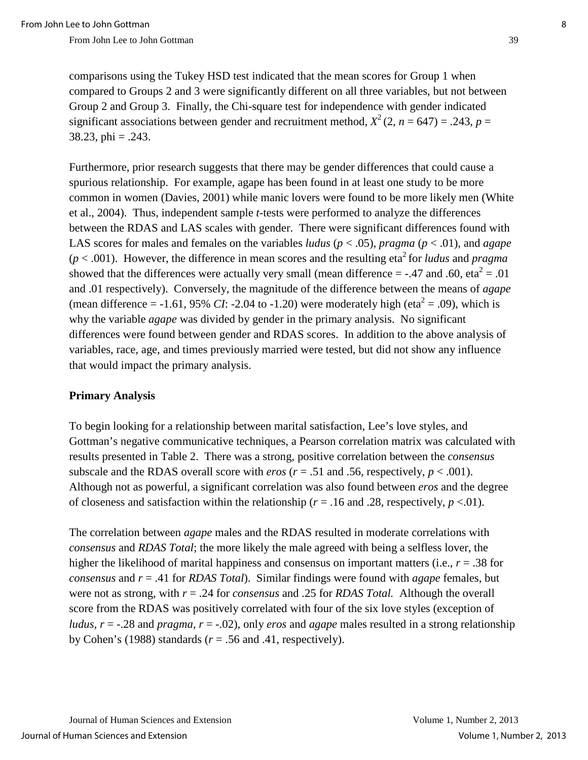comparisons using the Tukey HSD test indicated that the mean scores for Group 1 when compared to Groups 2 and 3 were significantly different on all three variables, but not between Group 2 and Group 3. Finally, the Chi-square test for independence with gender indicated significant associations between gender and recruitment method,  $X^2$  (2,  $n = 647$ ) = .243,  $p =$  $38.23$ , phi = .243.

Furthermore, prior research suggests that there may be gender differences that could cause a spurious relationship. For example, agape has been found in at least one study to be more common in women (Davies, 2001) while manic lovers were found to be more likely men (White et al., 2004). Thus, independent sample *t*-tests were performed to analyze the differences between the RDAS and LAS scales with gender. There were significant differences found with LAS scores for males and females on the variables *ludus* ( $p < .05$ ), *pragma* ( $p < .01$ ), and *agape*  $(p < .001)$ . However, the difference in mean scores and the resulting eta<sup>2</sup> for *ludus* and *pragma* showed that the differences were actually very small (mean difference = -.47 and .60, eta<sup>2</sup> = .01 and .01 respectively). Conversely, the magnitude of the difference between the means of *agape*  (mean difference =  $-1.61$ , 95% *CI*:  $-2.04$  to  $-1.20$ ) were moderately high (eta<sup>2</sup> = .09), which is why the variable *agape* was divided by gender in the primary analysis. No significant differences were found between gender and RDAS scores. In addition to the above analysis of variables, race, age, and times previously married were tested, but did not show any influence that would impact the primary analysis.

#### **Primary Analysis**

To begin looking for a relationship between marital satisfaction, Lee's love styles, and Gottman's negative communicative techniques, a Pearson correlation matrix was calculated with results presented in Table 2. There was a strong, positive correlation between the *consensus*  subscale and the RDAS overall score with *eros* ( $r = .51$  and .56, respectively,  $p < .001$ ). Although not as powerful, a significant correlation was also found between *eros* and the degree of closeness and satisfaction within the relationship ( $r = .16$  and .28, respectively,  $p < .01$ ).

The correlation between *agape* males and the RDAS resulted in moderate correlations with *consensus* and *RDAS Total*; the more likely the male agreed with being a selfless lover, the higher the likelihood of marital happiness and consensus on important matters (i.e., *r* = .38 for *consensus* and *r* = .41 for *RDAS Total*). Similar findings were found with *agape* females, but were not as strong, with *r* = .24 for *consensus* and .25 for *RDAS Total.* Although the overall score from the RDAS was positively correlated with four of the six love styles (exception of *ludus*,  $r = -0.28$  and *pragma, r* =  $-0.02$ ), only *eros* and *agape* males resulted in a strong relationship by Cohen's (1988) standards ( $r = .56$  and .41, respectively).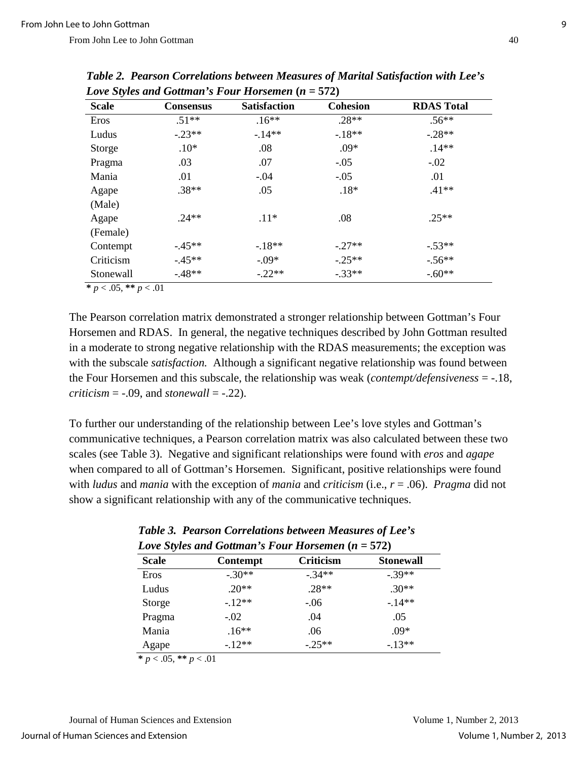| <b>Scale</b> | <b>Consensus</b> | <b>Satisfaction</b> | <b>Cohesion</b> | <b>RDAS Total</b> |
|--------------|------------------|---------------------|-----------------|-------------------|
| Eros         | $.51**$          | $.16**$             | $.28**$         | $.56**$           |
| Ludus        | $-.23**$         | $-14**$             | $-18**$         | $-.28**$          |
| Storge       | $.10*$           | .08                 | $.09*$          | $.14**$           |
| Pragma       | .03              | .07                 | $-.05$          | $-.02$            |
| Mania        | .01              | $-.04$              | $-.05$          | .01               |
| Agape        | $.38**$          | .05                 | $.18*$          | $.41**$           |
| (Male)       |                  |                     |                 |                   |
| Agape        | $24**$           | $.11*$              | .08             | $.25**$           |
| (Female)     |                  |                     |                 |                   |
| Contempt     | $-45**$          | $-18**$             | $-.27**$        | $-.53**$          |
| Criticism    | $-45**$          | $-.09*$             | $-.25**$        | $-.56**$          |
| Stonewall    | $-.48**$         | $-.22**$            | $-.33**$        | $-.60**$          |

*Table 2. Pearson Correlations between Measures of Marital Satisfaction with Lee's Love Styles and Gottman's Four Horsemen* **(***n* **= 572)**

 $* p < .05, ** p < .01$ 

The Pearson correlation matrix demonstrated a stronger relationship between Gottman's Four Horsemen and RDAS. In general, the negative techniques described by John Gottman resulted in a moderate to strong negative relationship with the RDAS measurements; the exception was with the subscale *satisfaction.* Although a significant negative relationship was found between the Four Horsemen and this subscale, the relationship was weak (*contempt/defensiveness* = -.18, *criticism* =  $-.09$ *,* and *stonewall* =  $-.22$ *).* 

To further our understanding of the relationship between Lee's love styles and Gottman's communicative techniques, a Pearson correlation matrix was also calculated between these two scales (see Table 3). Negative and significant relationships were found with *eros* and *agape*  when compared to all of Gottman's Horsemen. Significant, positive relationships were found with *ludus* and *mania* with the exception of *mania* and *criticism* (i.e., *r* = .06). *Pragma* did not show a significant relationship with any of the communicative techniques.

| - - - -      |                 |           |                  |  |  |  |
|--------------|-----------------|-----------|------------------|--|--|--|
| <b>Scale</b> | <b>Contempt</b> | Criticism | <b>Stonewall</b> |  |  |  |
| Eros         | $-.30**$        | $-34**$   | $-.39**$         |  |  |  |
| Ludus        | $.20**$         | $.28**$   | $.30**$          |  |  |  |
| Storge       | $-12**$         | $-.06$    | $-14**$          |  |  |  |
| Pragma       | $-.02$          | .04       | .05              |  |  |  |
| Mania        | $.16***$        | .06       | $.09*$           |  |  |  |
| Agape        | $-12**$         | $-0.25**$ | $-13**$          |  |  |  |

### *Table 3. Pearson Correlations between Measures of Lee's Love Styles and Gottman's Four Horsemen* **(***n* **= 572)**

 $* p < .05, ** p < .01$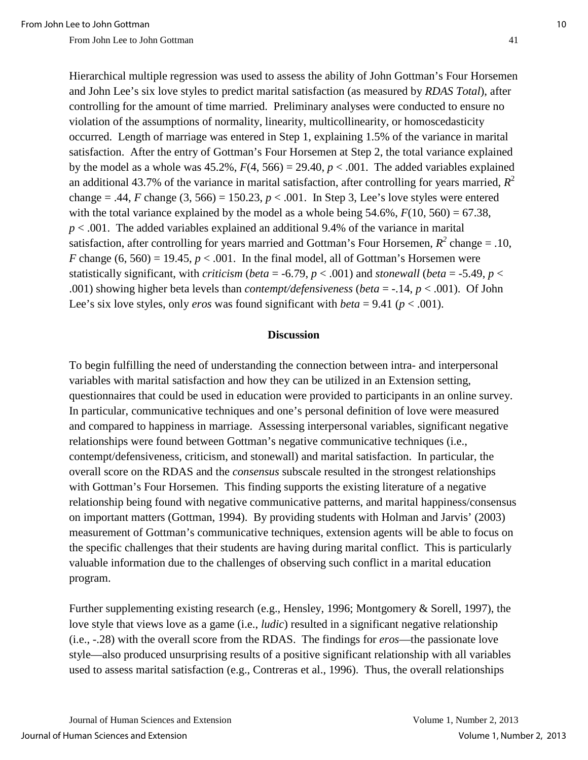Hierarchical multiple regression was used to assess the ability of John Gottman's Four Horsemen and John Lee's six love styles to predict marital satisfaction (as measured by *RDAS Total*), after controlling for the amount of time married. Preliminary analyses were conducted to ensure no violation of the assumptions of normality, linearity, multicollinearity, or homoscedasticity occurred. Length of marriage was entered in Step 1, explaining 1.5% of the variance in marital satisfaction. After the entry of Gottman's Four Horsemen at Step 2, the total variance explained by the model as a whole was  $45.2\%$ ,  $F(4, 566) = 29.40$ ,  $p < .001$ . The added variables explained an additional 43.7% of the variance in marital satisfaction, after controlling for years married,  $R^2$ change  $= .44$ , *F* change (3, 566)  $= 150.23$ ,  $p < .001$ . In Step 3, Lee's love styles were entered with the total variance explained by the model as a whole being  $54.6\%$ ,  $F(10, 560) = 67.38$ , *p* < .001. The added variables explained an additional 9.4% of the variance in marital satisfaction, after controlling for years married and Gottman's Four Horsemen,  $R^2$  change = .10, *F* change  $(6, 560) = 19.45$ ,  $p < .001$ . In the final model, all of Gottman's Horsemen were statistically significant, with *criticism* (*beta* = -6.79,  $p < .001$ ) and *stonewall* (*beta* = -5.49,  $p <$ .001) showing higher beta levels than *contempt/defensiveness* (*beta* = -.14, *p* < .001). Of John Lee's six love styles, only *eros* was found significant with *beta* = 9.41 ( $p < .001$ ).

#### **Discussion**

To begin fulfilling the need of understanding the connection between intra- and interpersonal variables with marital satisfaction and how they can be utilized in an Extension setting, questionnaires that could be used in education were provided to participants in an online survey. In particular, communicative techniques and one's personal definition of love were measured and compared to happiness in marriage. Assessing interpersonal variables, significant negative relationships were found between Gottman's negative communicative techniques (i.e., contempt/defensiveness, criticism, and stonewall) and marital satisfaction. In particular, the overall score on the RDAS and the *consensus* subscale resulted in the strongest relationships with Gottman's Four Horsemen. This finding supports the existing literature of a negative relationship being found with negative communicative patterns, and marital happiness/consensus on important matters (Gottman, 1994). By providing students with Holman and Jarvis' (2003) measurement of Gottman's communicative techniques, extension agents will be able to focus on the specific challenges that their students are having during marital conflict. This is particularly valuable information due to the challenges of observing such conflict in a marital education program.

Further supplementing existing research (e.g., Hensley, 1996; Montgomery & Sorell, 1997), the love style that views love as a game (i.e., *ludic*) resulted in a significant negative relationship (i.e., -.28) with the overall score from the RDAS. The findings for *eros*—the passionate love style—also produced unsurprising results of a positive significant relationship with all variables used to assess marital satisfaction (e.g., Contreras et al., 1996). Thus, the overall relationships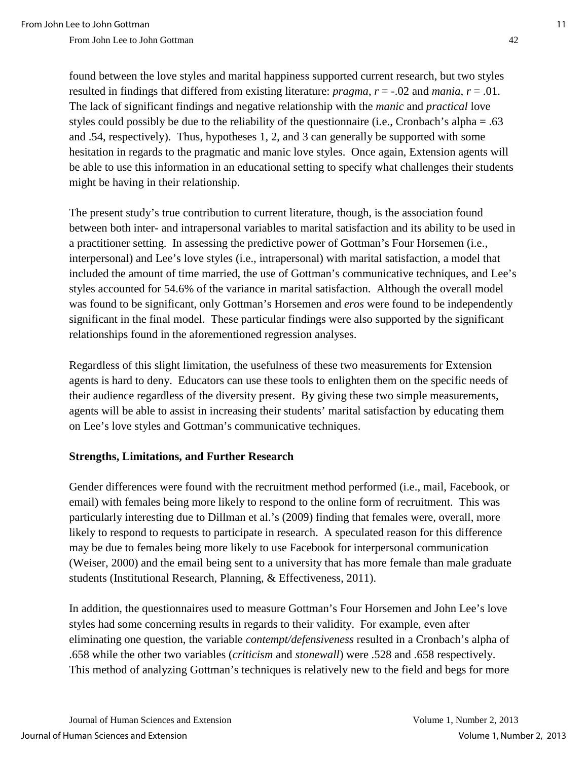found between the love styles and marital happiness supported current research, but two styles resulted in findings that differed from existing literature: *pragma*, *r* = -.02 and *mania*, *r* = .01. The lack of significant findings and negative relationship with the *manic* and *practical* love styles could possibly be due to the reliability of the questionnaire (i.e., Cronbach's alpha = .63 and .54, respectively). Thus, hypotheses 1, 2, and 3 can generally be supported with some hesitation in regards to the pragmatic and manic love styles. Once again, Extension agents will be able to use this information in an educational setting to specify what challenges their students might be having in their relationship.

The present study's true contribution to current literature, though, is the association found between both inter- and intrapersonal variables to marital satisfaction and its ability to be used in a practitioner setting. In assessing the predictive power of Gottman's Four Horsemen (i.e., interpersonal) and Lee's love styles (i.e., intrapersonal) with marital satisfaction, a model that included the amount of time married, the use of Gottman's communicative techniques, and Lee's styles accounted for 54.6% of the variance in marital satisfaction. Although the overall model was found to be significant, only Gottman's Horsemen and *eros* were found to be independently significant in the final model. These particular findings were also supported by the significant relationships found in the aforementioned regression analyses.

Regardless of this slight limitation, the usefulness of these two measurements for Extension agents is hard to deny. Educators can use these tools to enlighten them on the specific needs of their audience regardless of the diversity present. By giving these two simple measurements, agents will be able to assist in increasing their students' marital satisfaction by educating them on Lee's love styles and Gottman's communicative techniques.

### **Strengths, Limitations, and Further Research**

Gender differences were found with the recruitment method performed (i.e., mail, Facebook, or email) with females being more likely to respond to the online form of recruitment. This was particularly interesting due to Dillman et al.'s (2009) finding that females were, overall, more likely to respond to requests to participate in research. A speculated reason for this difference may be due to females being more likely to use Facebook for interpersonal communication (Weiser, 2000) and the email being sent to a university that has more female than male graduate students (Institutional Research, Planning, & Effectiveness, 2011).

In addition, the questionnaires used to measure Gottman's Four Horsemen and John Lee's love styles had some concerning results in regards to their validity. For example, even after eliminating one question, the variable *contempt/defensiveness* resulted in a Cronbach's alpha of .658 while the other two variables (*criticism* and *stonewall*) were .528 and .658 respectively. This method of analyzing Gottman's techniques is relatively new to the field and begs for more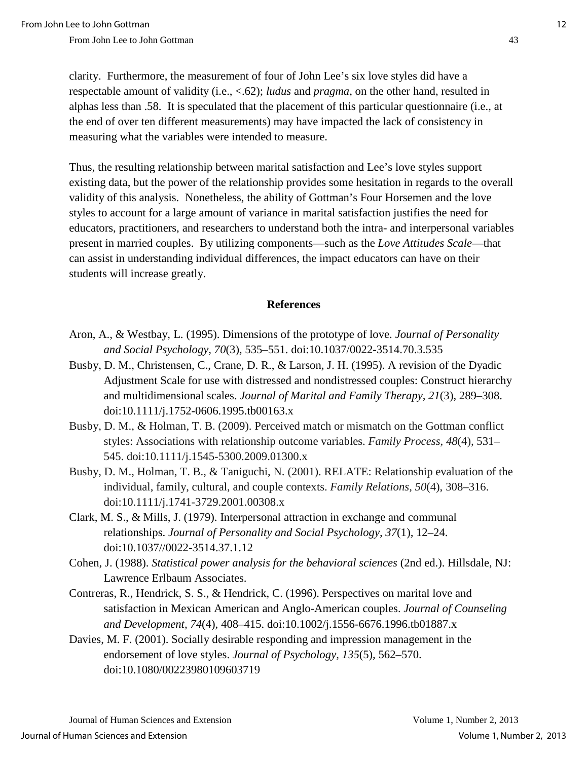clarity. Furthermore, the measurement of four of John Lee's six love styles did have a respectable amount of validity (i.e., <.62); *ludus* and *pragma,* on the other hand, resulted in alphas less than .58. It is speculated that the placement of this particular questionnaire (i.e., at the end of over ten different measurements) may have impacted the lack of consistency in measuring what the variables were intended to measure.

Thus, the resulting relationship between marital satisfaction and Lee's love styles support existing data, but the power of the relationship provides some hesitation in regards to the overall validity of this analysis. Nonetheless, the ability of Gottman's Four Horsemen and the love styles to account for a large amount of variance in marital satisfaction justifies the need for educators, practitioners, and researchers to understand both the intra- and interpersonal variables present in married couples. By utilizing components—such as the *Love Attitudes Scale*—that can assist in understanding individual differences, the impact educators can have on their students will increase greatly.

#### **References**

- Aron, A., & Westbay, L. (1995). Dimensions of the prototype of love. *Journal of Personality and Social Psychology, 70*(3)*,* 535–551. doi[:10.1037/0022-3514.70.3.535](http://dx.doi.org/10.1037/0022-3514.70.3.535)
- Busby, D. M., Christensen, C., Crane, D. R., & Larson, J. H. (1995). A revision of the Dyadic Adjustment Scale for use with distressed and nondistressed couples: Construct hierarchy and multidimensional scales. *Journal of Marital and Family Therapy, 21*(3), 289–308. doi:10.1111/j.1752-0606.1995.tb00163.x
- Busby, D. M., & Holman, T. B. (2009). Perceived match or mismatch on the Gottman conflict styles: Associations with relationship outcome variables. *Family Process, 48*(4)*,* 531– 545. doi:10.1111/j.1545-5300.2009.01300.x
- Busby, D. M., Holman, T. B., & Taniguchi, N. (2001). RELATE: Relationship evaluation of the individual, family, cultural, and couple contexts. *Family Relations, 50*(4), 308–316. doi:10.1111/j.1741-3729.2001.00308.x
- Clark, M. S., & Mills, J. (1979). Interpersonal attraction in exchange and communal relationships. *Journal of Personality and Social Psychology, 37*(1)*,* 12–24. doi:10.1037//0022-3514.37.1.12
- Cohen, J. (1988). *Statistical power analysis for the behavioral sciences* (2nd ed.). Hillsdale, NJ: Lawrence Erlbaum Associates.
- Contreras, R., Hendrick, S. S., & Hendrick, C. (1996). Perspectives on marital love and satisfaction in Mexican American and Anglo-American couples. *Journal of Counseling and Development, 74*(4)*,* 408–415. doi:10.1002/j.1556-6676.1996.tb01887.x
- Davies, M. F. (2001). Socially desirable responding and impression management in the endorsement of love styles. *Journal of Psychology, 135*(5)*,* 562–570. doi:10.1080/00223980109603719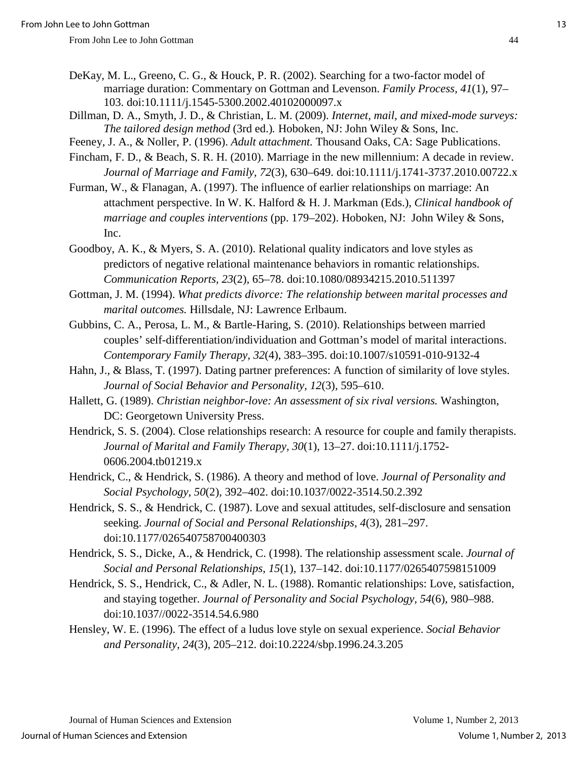- DeKay, M. L., Greeno, C. G., & Houck, P. R. (2002). Searching for a two-factor model of marriage duration: Commentary on Gottman and Levenson. *Family Process, 41*(1)*,* 97– 103. doi:10.1111/j.1545-5300.2002.40102000097.x
- Dillman, D. A., Smyth, J. D., & Christian, L. M. (2009). *Internet, mail, and mixed-mode surveys: The tailored design method* (3rd ed.)*.* Hoboken, NJ: John Wiley & Sons, Inc.
- Feeney, J. A., & Noller, P. (1996). *Adult attachment.* Thousand Oaks, CA: Sage Publications.
- Fincham, F. D., & Beach, S. R. H. (2010). Marriage in the new millennium: A decade in review. *Journal of Marriage and Family, 72*(3)*,* 630–649. doi:10.1111/j.1741-3737.2010.00722.x
- Furman, W., & Flanagan, A. (1997). The influence of earlier relationships on marriage: An attachment perspective. In W. K. Halford & H. J. Markman (Eds.), *Clinical handbook of marriage and couples interventions* (pp. 179–202). Hoboken, NJ: John Wiley & Sons, Inc.
- Goodboy, A. K., & Myers, S. A. (2010). Relational quality indicators and love styles as predictors of negative relational maintenance behaviors in romantic relationships. *Communication Reports, 23*(2)*,* 65–78. doi:10.1080/08934215.2010.511397
- Gottman, J. M. (1994). *What predicts divorce: The relationship between marital processes and marital outcomes.* Hillsdale, NJ: Lawrence Erlbaum.
- Gubbins, C. A., Perosa, L. M., & Bartle-Haring, S. (2010). Relationships between married couples' self-differentiation/individuation and Gottman's model of marital interactions. *Contemporary Family Therapy, 32*(4), 383–395. doi:10.1007/s10591-010-9132-4
- Hahn, J., & Blass, T. (1997). Dating partner preferences: A function of similarity of love styles. *Journal of Social Behavior and Personality, 12*(3)*,* 595–610.
- Hallett, G. (1989). *Christian neighbor-love: An assessment of six rival versions.* Washington, DC: Georgetown University Press.
- Hendrick, S. S. (2004). Close relationships research: A resource for couple and family therapists. *Journal of Marital and Family Therapy, 30*(1)*,* 13–27. doi:10.1111/j.1752- 0606.2004.tb01219.x
- Hendrick, C., & Hendrick, S. (1986). A theory and method of love. *Journal of Personality and Social Psychology, 50*(2)*,* 392–402. doi:10.1037/0022-3514.50.2.392
- Hendrick, S. S., & Hendrick, C. (1987). Love and sexual attitudes, self-disclosure and sensation seeking. *Journal of Social and Personal Relationships, 4*(3)*,* 281–297. doi:10.1177/026540758700400303
- Hendrick, S. S., Dicke, A., & Hendrick, C. (1998). The relationship assessment scale. *Journal of Social and Personal Relationships, 15*(1)*,* 137–142. doi:10.1177/0265407598151009
- Hendrick, S. S., Hendrick, C., & Adler, N. L. (1988). Romantic relationships: Love, satisfaction, and staying together. *Journal of Personality and Social Psychology, 54*(6)*,* 980–988. doi:10.1037//0022-3514.54.6.980
- Hensley, W. E. (1996). The effect of a ludus love style on sexual experience. *Social Behavior and Personality, 24*(3)*,* 205–212. doi:10.2224/sbp.1996.24.3.205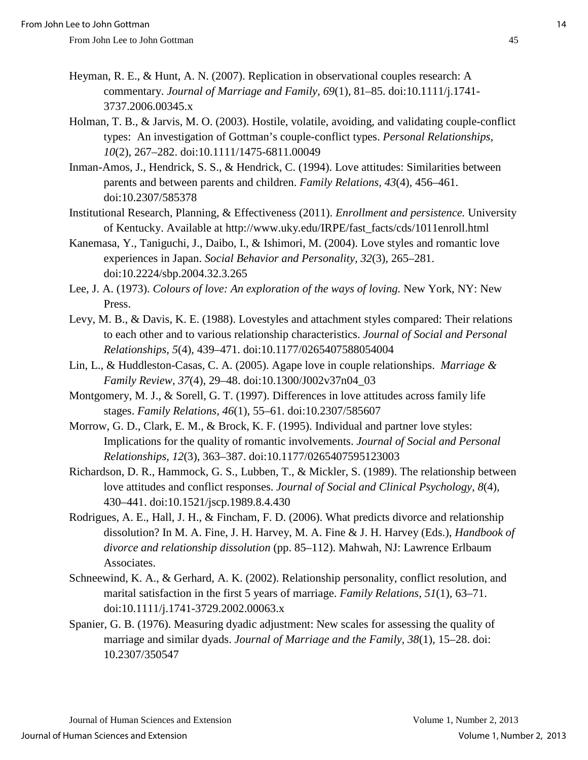- Heyman, R. E., & Hunt, A. N. (2007). Replication in observational couples research: A commentary. *Journal of Marriage and Family, 69*(1)*,* 81–85. doi:10.1111/j.1741- 3737.2006.00345.x
- Holman, T. B., & Jarvis, M. O. (2003). Hostile, volatile, avoiding, and validating couple-conflict types: An investigation of Gottman's couple-conflict types. *Personal Relationships, 10*(2), 267–282. doi:10.1111/1475-6811.00049
- Inman-Amos, J., Hendrick, S. S., & Hendrick, C. (1994). Love attitudes: Similarities between parents and between parents and children. *Family Relations, 43*(4)*,* 456–461. doi:10.2307/585378
- Institutional Research, Planning, & Effectiveness (2011). *Enrollment and persistence.* University of Kentucky. Available at http://www.uky.edu/IRPE/fast\_facts/cds/1011enroll.html
- Kanemasa, Y., Taniguchi, J., Daibo, I., & Ishimori, M. (2004). Love styles and romantic love experiences in Japan. *Social Behavior and Personality, 32*(3)*,* 265–281. doi:10.2224/sbp.2004.32.3.265
- Lee, J. A. (1973). *Colours of love: An exploration of the ways of loving.* New York, NY: New Press.
- Levy, M. B., & Davis, K. E. (1988). Lovestyles and attachment styles compared: Their relations to each other and to various relationship characteristics. *Journal of Social and Personal Relationships, 5*(4)*,* 439–471. doi:10.1177/0265407588054004
- Lin, L., & Huddleston-Casas, C. A. (2005). Agape love in couple relationships. *Marriage & Family Review, 37*(4)*,* 29–48. doi:10.1300/J002v37n04\_03
- Montgomery, M. J., & Sorell, G. T. (1997). Differences in love attitudes across family life stages. *Family Relations, 46*(1)*,* 55–61. doi:10.2307/585607
- Morrow, G. D., Clark, E. M., & Brock, K. F. (1995). Individual and partner love styles: Implications for the quality of romantic involvements. *Journal of Social and Personal Relationships, 12*(3)*,* 363–387. doi:10.1177/0265407595123003
- Richardson, D. R., Hammock, G. S., Lubben, T., & Mickler, S. (1989). The relationship between love attitudes and conflict responses. *Journal of Social and Clinical Psychology, 8*(4)*,*  430–441. doi:10.1521/jscp.1989.8.4.430
- Rodrigues, A. E., Hall, J. H., & Fincham, F. D. (2006). What predicts divorce and relationship dissolution? In M. A. Fine, J. H. Harvey, M. A. Fine & J. H. Harvey (Eds.), *Handbook of divorce and relationship dissolution* (pp. 85–112). Mahwah, NJ: Lawrence Erlbaum Associates.
- Schneewind, K. A., & Gerhard, A. K. (2002). Relationship personality, conflict resolution, and marital satisfaction in the first 5 years of marriage. *Family Relations, 51*(1)*,* 63–71. doi:10.1111/j.1741-3729.2002.00063.x
- Spanier, G. B. (1976). Measuring dyadic adjustment: New scales for assessing the quality of marriage and similar dyads. *Journal of Marriage and the Family, 38*(1)*,* 15–28. doi: 10.2307/350547